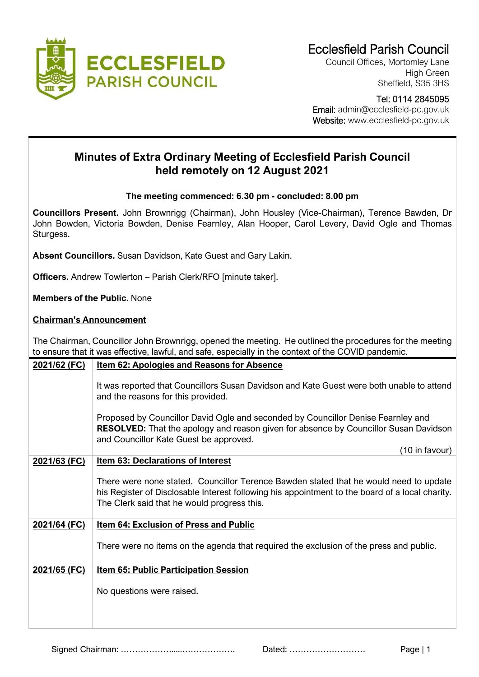

Council Offices, Mortomley Lane High Green Sheffield, S35 3HS

## Tel: 0114 2845095

 Email: admin@ecclesfield-pc.gov.uk Website: www.ecclesfield-pc.gov.uk

## **Minutes of Extra Ordinary Meeting of Ecclesfield Parish Council held remotely on 12 August 2021**

## **The meeting commenced: 6.30 pm - concluded: 8.00 pm**

**Councillors Present.** John Brownrigg (Chairman), John Housley (Vice-Chairman), Terence Bawden, Dr John Bowden, Victoria Bowden, Denise Fearnley, Alan Hooper, Carol Levery, David Ogle and Thomas Sturgess.

**Absent Councillors.** Susan Davidson, Kate Guest and Gary Lakin.

**Officers.** Andrew Towlerton – Parish Clerk/RFO [minute taker].

**Members of the Public.** None

## **Chairman's Announcement**

The Chairman, Councillor John Brownrigg, opened the meeting. He outlined the procedures for the meeting to ensure that it was effective, lawful, and safe, especially in the context of the COVID pandemic.

| 2021/62 (FC) | <b>Item 62: Apologies and Reasons for Absence</b>                                                                                                                                                                                                                                                                                                            |
|--------------|--------------------------------------------------------------------------------------------------------------------------------------------------------------------------------------------------------------------------------------------------------------------------------------------------------------------------------------------------------------|
|              | It was reported that Councillors Susan Davidson and Kate Guest were both unable to attend<br>and the reasons for this provided.<br>Proposed by Councillor David Ogle and seconded by Councillor Denise Fearnley and<br><b>RESOLVED:</b> That the apology and reason given for absence by Councillor Susan Davidson<br>and Councillor Kate Guest be approved. |
|              | (10 in favour)                                                                                                                                                                                                                                                                                                                                               |
| 2021/63 (FC) | <b>Item 63: Declarations of Interest</b><br>There were none stated. Councillor Terence Bawden stated that he would need to update<br>his Register of Disclosable Interest following his appointment to the board of a local charity.<br>The Clerk said that he would progress this.                                                                          |
| 2021/64 (FC) | Item 64: Exclusion of Press and Public                                                                                                                                                                                                                                                                                                                       |
|              | There were no items on the agenda that required the exclusion of the press and public.                                                                                                                                                                                                                                                                       |
| 2021/65 (FC) | <b>Item 65: Public Participation Session</b>                                                                                                                                                                                                                                                                                                                 |
|              | No questions were raised.                                                                                                                                                                                                                                                                                                                                    |